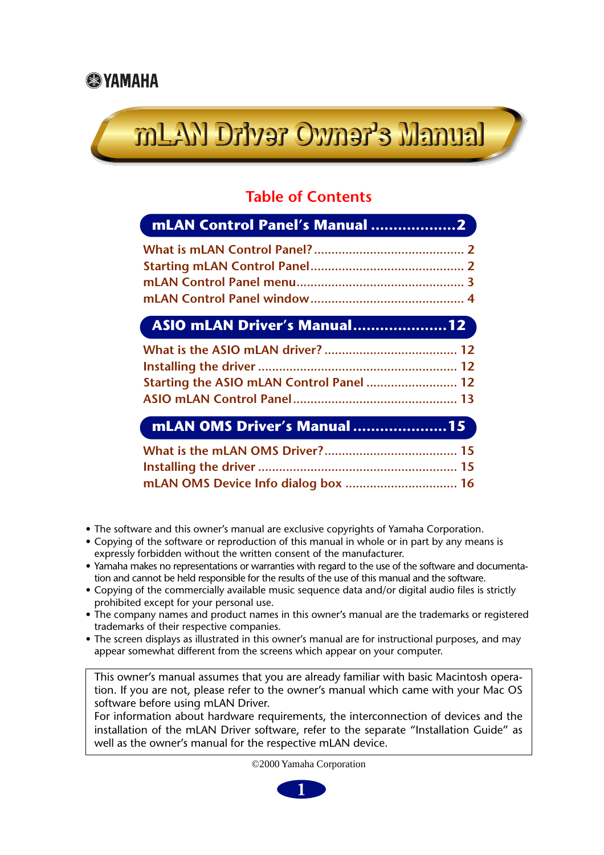# mLAN Driver Owner's Manual

### **Table of Contents**

| mLAN Control Panel's Manual 2            |  |
|------------------------------------------|--|
|                                          |  |
|                                          |  |
|                                          |  |
|                                          |  |
| ASIO mLAN Driver's Manual12              |  |
|                                          |  |
|                                          |  |
| Starting the ASIO mLAN Control Panel  12 |  |
|                                          |  |
| mLAN OMS Driver's Manual 15              |  |
|                                          |  |
|                                          |  |
|                                          |  |

- The software and this owner's manual are exclusive copyrights of Yamaha Corporation.
- Copying of the software or reproduction of this manual in whole or in part by any means is expressly forbidden without the written consent of the manufacturer.
- Yamaha makes no representations or warranties with regard to the use of the software and documentation and cannot be held responsible for the results of the use of this manual and the software.
- Copying of the commercially available music sequence data and/or digital audio files is strictly prohibited except for your personal use.
- The company names and product names in this owner's manual are the trademarks or registered trademarks of their respective companies.
- The screen displays as illustrated in this owner's manual are for instructional purposes, and may appear somewhat different from the screens which appear on your computer.

This owner's manual assumes that you are already familiar with basic Macintosh operation. If you are not, please refer to the owner's manual which came with your Mac OS software before using mLAN Driver.

For information about hardware requirements, the interconnection of devices and the installation of the mLAN Driver software, refer to the separate "Installation Guide" as well as the owner's manual for the respective mLAN device.

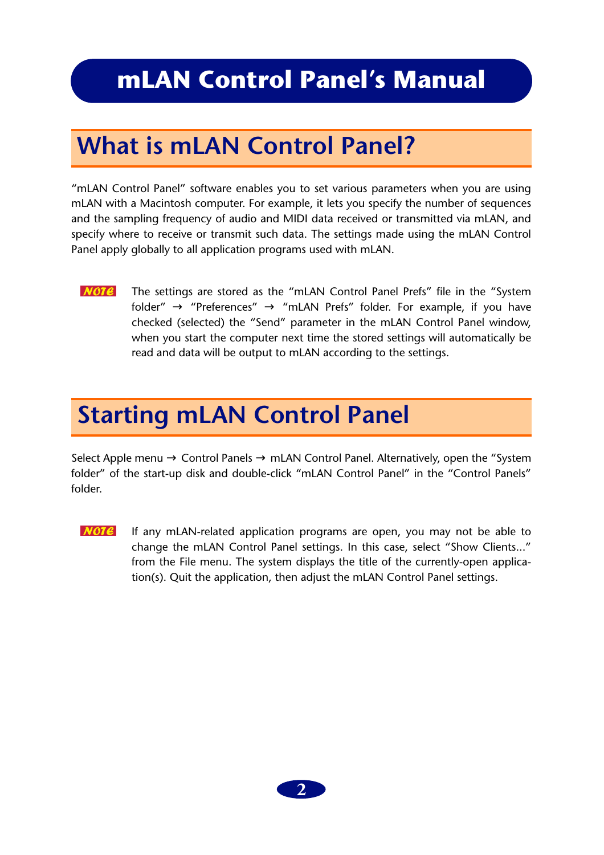### <span id="page-1-0"></span>**mLAN Control Panel's Manual**

### <span id="page-1-1"></span>**What is mLAN Control Panel?**

"mLAN Control Panel" software enables you to set various parameters when you are using mLAN with a Macintosh computer. For example, it lets you specify the number of sequences and the sampling frequency of audio and MIDI data received or transmitted via mLAN, and specify where to receive or transmit such data. The settings made using the mLAN Control Panel apply globally to all application programs used with mLAN.

 $$ The settings are stored as the "mLAN Control Panel Prefs" file in the "System folder"  $\rightarrow$  "Preferences"  $\rightarrow$  "mLAN Prefs" folder. For example, if you have checked (selected) the "Send" parameter in the mLAN Control Panel window, when you start the computer next time the stored settings will automatically be read and data will be output to mLAN according to the settings.

### <span id="page-1-2"></span>**Starting mLAN Control Panel**

Select Apple menu  $\rightarrow$  Control Panels  $\rightarrow$  mLAN Control Panel. Alternatively, open the "System" folder" of the start-up disk and double-click "mLAN Control Panel" in the "Control Panels" folder.

 $NOTE$ If any mLAN-related application programs are open, you may not be able to change the mLAN Control Panel settings. In this case, select "Show Clients..." from the File menu. The system displays the title of the currently-open application(s). Quit the application, then adjust the mLAN Control Panel settings.

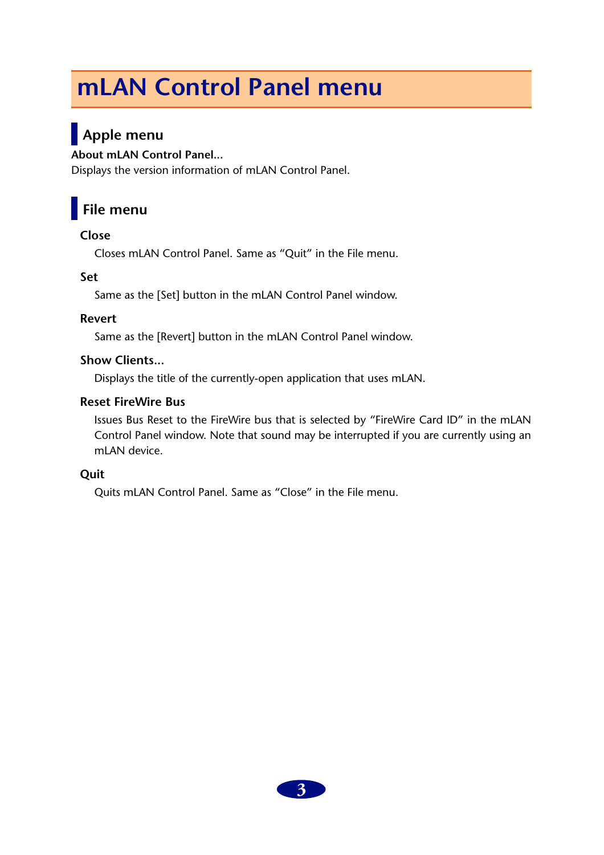## <span id="page-2-0"></span>**mLAN Control Panel menu**

### **Apple menu**

#### **About mLAN Control Panel...**

Displays the version information of mLAN Control Panel.

### **File menu**

#### **Close**

Closes mLAN Control Panel. Same as "Quit" in the File menu.

#### **Set**

Same as the [Set] button in the mLAN Control Panel window.

#### **Revert**

Same as the [Revert] button in the mLAN Control Panel window.

#### **Show Clients...**

Displays the title of the currently-open application that uses mLAN.

#### **Reset FireWire Bus**

Issues Bus Reset to the FireWire bus that is selected by "FireWire Card ID" in the mLAN Control Panel window. Note that sound may be interrupted if you are currently using an mLAN device.

#### **Quit**

Quits mLAN Control Panel. Same as "Close" in the File menu.

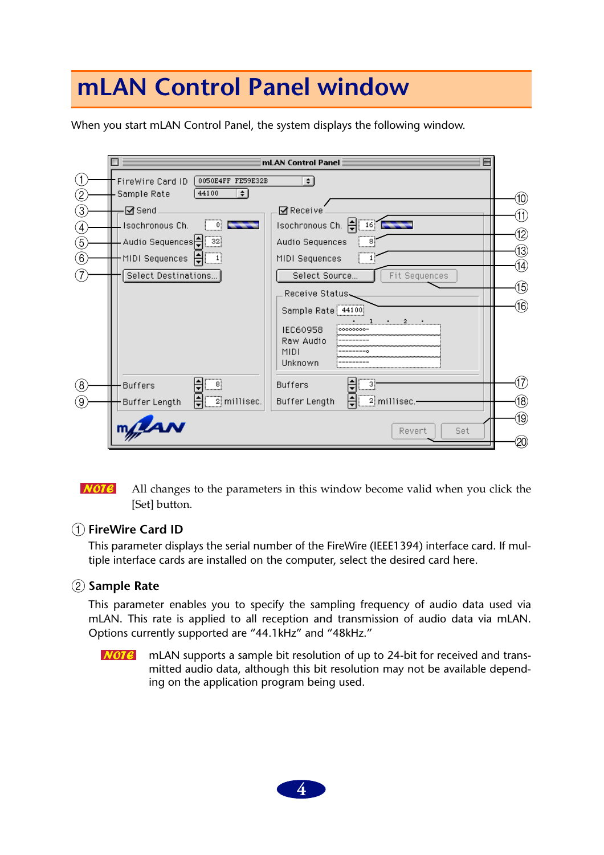### <span id="page-3-0"></span>**mLAN Control Panel window**

When you start mLAN Control Panel, the system displays the following window.

|                          | mLAN Control Panel $\bar{=}$                                                                       |            |
|--------------------------|----------------------------------------------------------------------------------------------------|------------|
| (1)<br>$\left( 2\right)$ | 0050E4FF FE59E32B<br>FireWire Card ID<br>$\div$<br>44100<br>Sample Rate<br>$\div$                  | (10)       |
| (3)                      | <b>ØReceive</b><br>⊠ Send                                                                          | (11)       |
| (4)                      | Isochronous Ch. $\frac{1}{\sqrt{2}}$ 16<br>Isochronous Ch.<br>0                                    |            |
| (5)                      | Audio Sequences   32<br>Audio Sequences<br>8                                                       | 12)        |
| (6)                      | MIDI Sequences   負<br>MIDI Sequences                                                               | 13)        |
|                          | Select Destinations<br>Select Source<br>Fit Sequences                                              | (14)       |
|                          | Receive Status                                                                                     | (15)       |
|                          | Sample Rate 44100<br>$1 \t 2 \t 1$<br>IEC60958<br>00000000-<br>Raw Audio<br><b>MIDI</b><br>Unknown | (16)       |
| (8)                      | -81<br><b>Buffers</b><br><b>Buffers</b>                                                            | (17)       |
| (9)                      | $\frac{1}{\sqrt{2}}$ millisec.<br>Buffer Length<br><u>_2</u> millisec.-<br>Buffer Length           | 18)        |
|                          | mylan<br>Set<br>Revert                                                                             | (19)<br>20 |

 $NOTE$ All changes to the parameters in this window become valid when you click the [Set] button.

#### A **FireWire Card ID**

This parameter displays the serial number of the FireWire (IEEE1394) interface card. If multiple interface cards are installed on the computer, select the desired card here.

#### B **Sample Rate**

This parameter enables you to specify the sampling frequency of audio data used via mLAN. This rate is applied to all reception and transmission of audio data via mLAN. Options currently supported are "44.1kHz" and "48kHz."

 $NOTE$ mLAN supports a sample bit resolution of up to 24-bit for received and transmitted audio data, although this bit resolution may not be available depending on the application program being used.

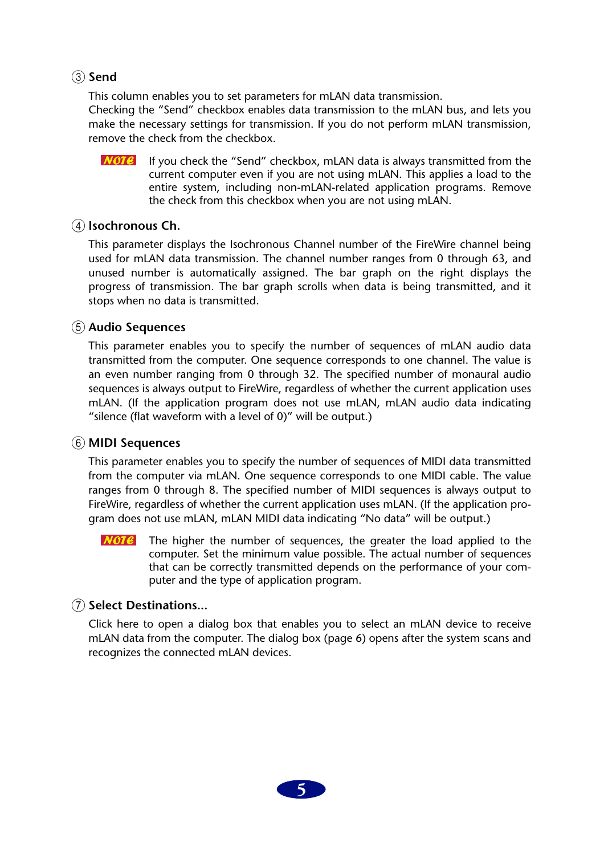#### (3) Send

This column enables you to set parameters for mLAN data transmission.

Checking the "Send" checkbox enables data transmission to the mLAN bus, and lets you make the necessary settings for transmission. If you do not perform mLAN transmission, remove the check from the checkbox.

**NOTE** If you check the "Send" checkbox, mLAN data is always transmitted from the current computer even if you are not using mLAN. This applies a load to the entire system, including non-mLAN-related application programs. Remove the check from this checkbox when you are not using mLAN.

#### (4) **Isochronous Ch.**

This parameter displays the Isochronous Channel number of the FireWire channel being used for mLAN data transmission. The channel number ranges from 0 through 63, and unused number is automatically assigned. The bar graph on the right displays the progress of transmission. The bar graph scrolls when data is being transmitted, and it stops when no data is transmitted.

#### E **Audio Sequences**

This parameter enables you to specify the number of sequences of mLAN audio data transmitted from the computer. One sequence corresponds to one channel. The value is an even number ranging from 0 through 32. The specified number of monaural audio sequences is always output to FireWire, regardless of whether the current application uses mLAN. (If the application program does not use mLAN, mLAN audio data indicating "silence (flat waveform with a level of 0)" will be output.)

#### $\circled$  MIDI Sequences

This parameter enables you to specify the number of sequences of MIDI data transmitted from the computer via mLAN. One sequence corresponds to one MIDI cable. The value ranges from 0 through 8. The specified number of MIDI sequences is always output to FireWire, regardless of whether the current application uses mLAN. (If the application program does not use mLAN, mLAN MIDI data indicating "No data" will be output.)

The higher the number of sequences, the greater the load applied to the  $NOTE$ computer. Set the minimum value possible. The actual number of sequences that can be correctly transmitted depends on the performance of your computer and the type of application program.

#### G **Select Destinations...**

Click here to open a dialog box that enables you to select an mLAN device to receive mLAN data from the computer. The dialog box (page 6) opens after the system scans and recognizes the connected mLAN devices.

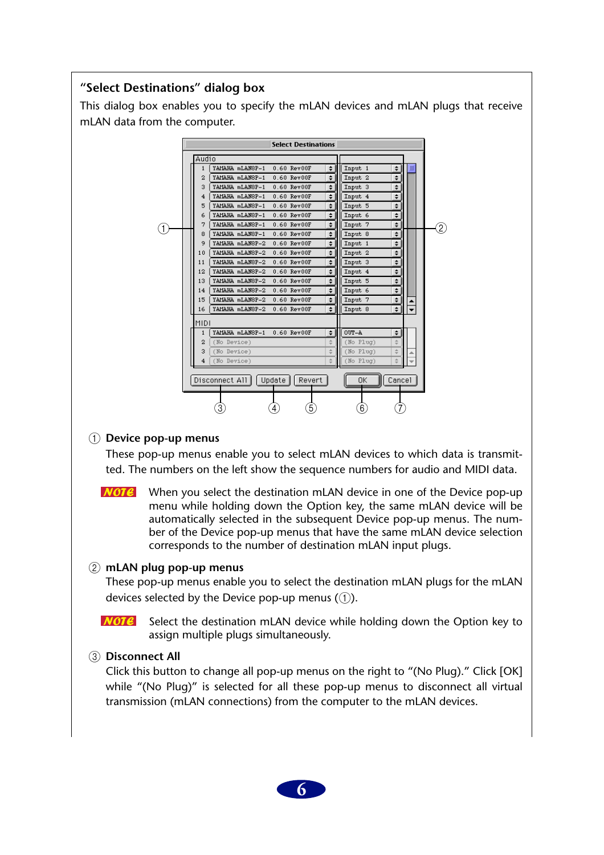#### **"Select Destinations" dialog box**

This dialog box enables you to specify the mLAN devices and mLAN plugs that receive mLAN data from the computer.

|     |                |                 | <b>Select Destinations</b>   |               |                    |             |                   |
|-----|----------------|-----------------|------------------------------|---------------|--------------------|-------------|-------------------|
|     | Audio          |                 |                              |               |                    |             |                   |
|     | 1              | YAMAHA mLANSP-1 | $0.60$ Rev $00F$             | $\div$        | Input 1            | $\div$      |                   |
|     | 2              | YAMAHA mLANSP-1 | 0.60 Rev00F                  | $\div$        | Input <sub>2</sub> | ÷           |                   |
|     | 3              | YAMAHA mLANSP-1 | $0.60$ Rev $00F$             | ÷             | Input 3            | ÷           |                   |
|     | 4              | YAMAHA mLANSP-1 | $0.60$ Rev $00F$             | $\div$        | Input 4            | $\div$      |                   |
|     | 5              | YAMAHA mLANSP-1 | $0.60$ Rev $00F$             | $\div$        | Input 5            | ÷           |                   |
|     | 6              | YAMAHA mLANSP-1 | 0.60 Rev00F                  | ÷۱            | Input 6            | $\div$      |                   |
| (1) | 7              | YAMAHA mLANSP-1 | $0.60$ Rev $00F$             | $\div$        | Input 7            | ÷۱          | $\left( 2\right)$ |
|     | 8              | YAMAHA mLANSP-1 | $0.60$ Rev $00F$             | ≑∣            | Input 8            | $\div$      |                   |
|     | 9              | YAMAHA mLANSP-2 | 0.60 Rev00F                  | $\div$        | Input 1            | ÷           |                   |
|     | 10             | YAMAHA mLANSP-2 | $0.60$ Rev $00F$             | $\div$        | Input 2            | $\div$      |                   |
|     | 11             | YAMAHA mLANSP-2 | $0.60$ Rev $00F$             | $\div$        | Input 3            | $\div$      |                   |
|     | 12             | YAMAHA mLANSP-2 | $0.60$ Rev $00F$             | $\div$        | Input 4            | $\div$      |                   |
|     | 13             | YAMAHA mLANSP-2 | $0.60$ Rev $00F$             | $\div$        | Input 5            | $\div$      |                   |
|     | 14             | YAMAHA mLANSP-2 | 0.60 Rev00F                  | $\div$        | Input 6            | $\div$      |                   |
|     | 15             | YAMAHA mLANSP-2 | $0.60$ Rev $00F$             | $\div$        | Input 7            | $\div$      |                   |
|     | 16             | YAMAHA mLANSP-2 | $0.60$ Rev $00F$             | $\div$        | Input 8            | $\div$<br>٠ |                   |
|     | <b>MIDI</b>    |                 |                              |               |                    |             |                   |
|     | 1              | YAMAHA mLANSP-1 | 0.60 Rev00F                  | ÷۱            | OUT-A              | $\div$      |                   |
|     | $\overline{2}$ | (No Device)     |                              | $\div$        | $(No$ $Pluq)$      | ÷           |                   |
|     | 3              | (No Device)     |                              | $\frac{1}{7}$ | $(No$ $Pluq)$      | ÷           |                   |
|     | 4              | (No Device)     |                              | é             | $(No$ $Pluq)$      | é           |                   |
|     |                | Disconnect All  | Update $\parallel$<br>Revert |               | 0K                 | Cancel      |                   |
|     |                | 3               | 5)<br>4                      |               | $6 \,$             |             |                   |

#### 1 **Device pop-up menus**

These pop-up menus enable you to select mLAN devices to which data is transmitted. The numbers on the left show the sequence numbers for audio and MIDI data.

 $NOTE$ When you select the destination mLAN device in one of the Device pop-up menu while holding down the Option key, the same mLAN device will be automatically selected in the subsequent Device pop-up menus. The number of the Device pop-up menus that have the same mLAN device selection corresponds to the number of destination mLAN input plugs.

#### 2 **mLAN plug pop-up menus**

These pop-up menus enable you to select the destination mLAN plugs for the mLAN devices selected by the Device pop-up menus  $(1)$ .

 $$ Select the destination mLAN device while holding down the Option key to assign multiple plugs simultaneously.

#### 3 **Disconnect All**

Click this button to change all pop-up menus on the right to "(No Plug)." Click [OK] while "(No Plug)" is selected for all these pop-up menus to disconnect all virtual transmission (mLAN connections) from the computer to the mLAN devices.

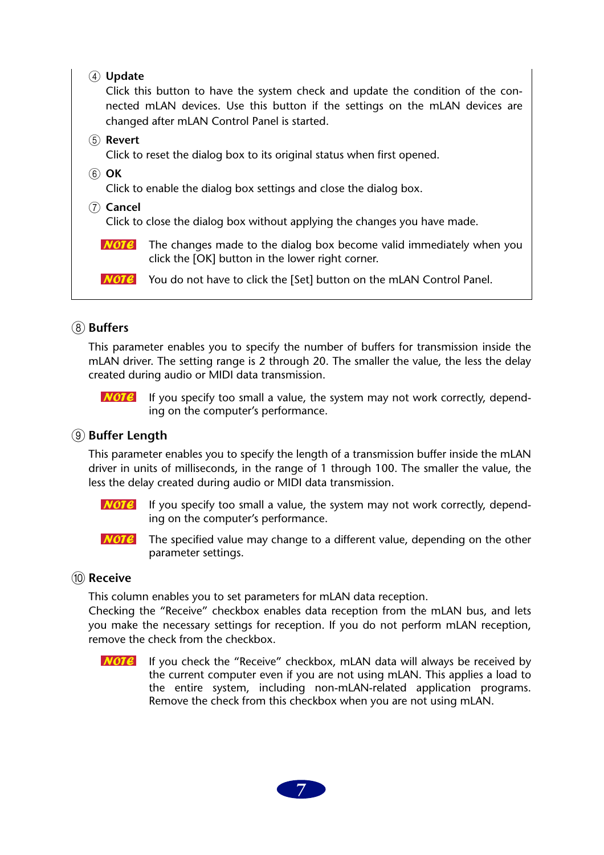| <b>Update</b><br>.4)<br>Click this button to have the system check and update the condition of the con-<br>nected mLAN devices. Use this button if the settings on the mLAN devices are<br>changed after mLAN Control Panel is started. |  |  |  |
|-----------------------------------------------------------------------------------------------------------------------------------------------------------------------------------------------------------------------------------------|--|--|--|
| (5) <b>Revert</b>                                                                                                                                                                                                                       |  |  |  |
| Click to reset the dialog box to its original status when first opened.<br>(6) <b>OK</b>                                                                                                                                                |  |  |  |
| Click to enable the dialog box settings and close the dialog box.                                                                                                                                                                       |  |  |  |
| Cancel<br>Click to close the dialog box without applying the changes you have made.                                                                                                                                                     |  |  |  |
| The changes made to the dialog box become valid immediately when you<br>click the [OK] button in the lower right corner.                                                                                                                |  |  |  |
| You do not have to click the [Set] button on the mLAN Control Panel.                                                                                                                                                                    |  |  |  |
|                                                                                                                                                                                                                                         |  |  |  |

#### **(8)** Buffers

This parameter enables you to specify the number of buffers for transmission inside the mLAN driver. The setting range is 2 through 20. The smaller the value, the less the delay created during audio or MIDI data transmission.

 $NOTE$ 

If you specify too small a value, the system may not work correctly, depending on the computer's performance.

#### **(9) Buffer Length**

This parameter enables you to specify the length of a transmission buffer inside the mLAN driver in units of milliseconds, in the range of 1 through 100. The smaller the value, the less the delay created during audio or MIDI data transmission.

- $NOTE$ If you specify too small a value, the system may not work correctly, depending on the computer's performance.
- $NOTE$ The specified value may change to a different value, depending on the other parameter settings.

#### (10) **Receive**

This column enables you to set parameters for mLAN data reception.

Checking the "Receive" checkbox enables data reception from the mLAN bus, and lets you make the necessary settings for reception. If you do not perform mLAN reception, remove the check from the checkbox.

If you check the "Receive" checkbox, mLAN data will always be received by  $NOTE$ the current computer even if you are not using mLAN. This applies a load to the entire system, including non-mLAN-related application programs. Remove the check from this checkbox when you are not using mLAN.

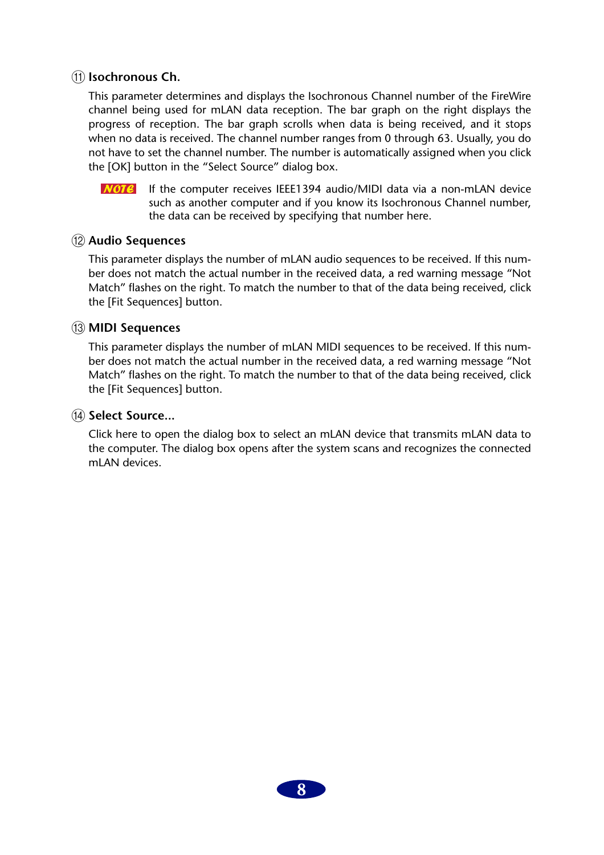#### **(11)** Isochronous Ch.

This parameter determines and displays the Isochronous Channel number of the FireWire channel being used for mLAN data reception. The bar graph on the right displays the progress of reception. The bar graph scrolls when data is being received, and it stops when no data is received. The channel number ranges from 0 through 63. Usually, you do not have to set the channel number. The number is automatically assigned when you click the [OK] button in the "Select Source" dialog box.

 $\overline{NOTC}$  If the computer receives IEEE1394 audio/MIDI data via a non-mLAN device such as another computer and if you know its Isochronous Channel number, the data can be received by specifying that number here.

#### L **Audio Sequences**

This parameter displays the number of mLAN audio sequences to be received. If this number does not match the actual number in the received data, a red warning message "Not Match" flashes on the right. To match the number to that of the data being received, click the [Fit Sequences] button.

#### **(13) MIDI Sequences**

This parameter displays the number of mLAN MIDI sequences to be received. If this number does not match the actual number in the received data, a red warning message "Not Match" flashes on the right. To match the number to that of the data being received, click the [Fit Sequences] button.

#### (14) **Select Source...**

Click here to open the dialog box to select an mLAN device that transmits mLAN data to the computer. The dialog box opens after the system scans and recognizes the connected mLAN devices.

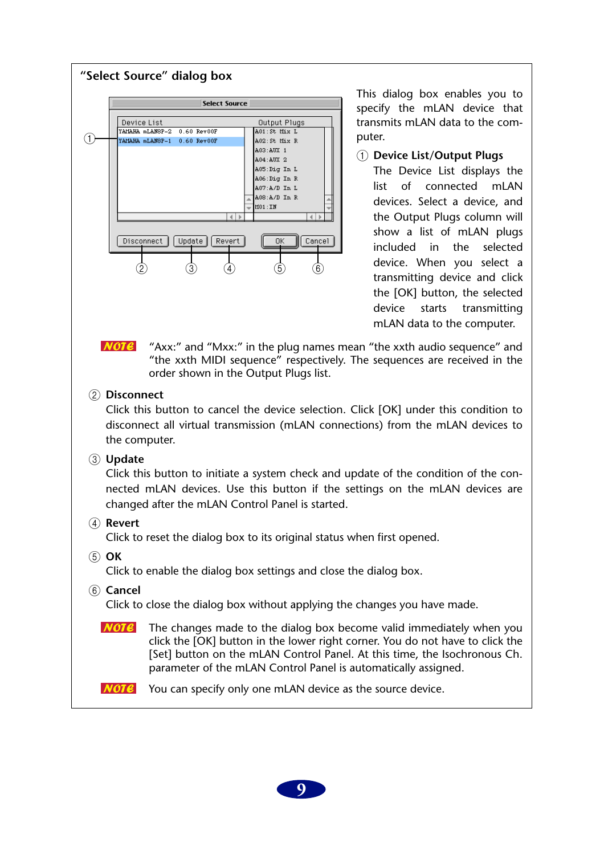

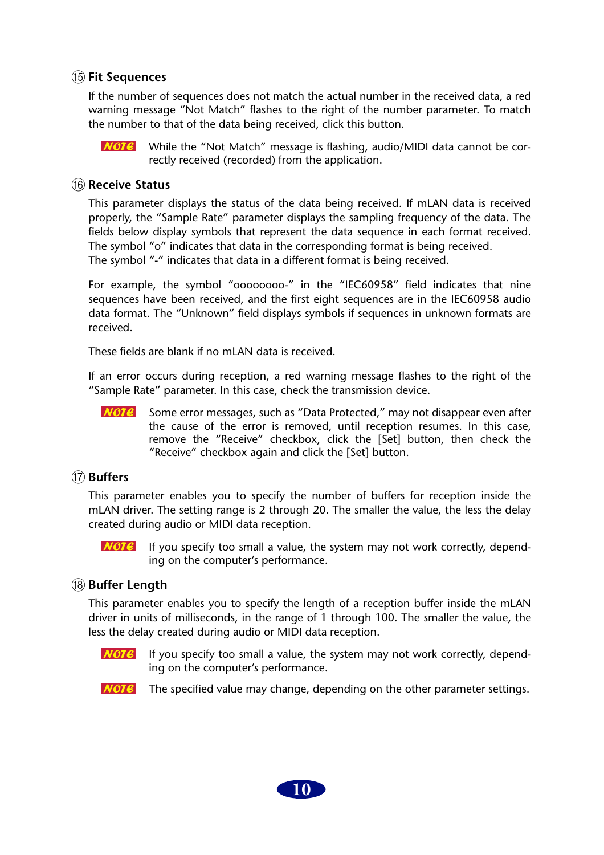#### O **Fit Sequences**

If the number of sequences does not match the actual number in the received data, a red warning message "Not Match" flashes to the right of the number parameter. To match the number to that of the data being received, click this button.

**NOTE** While the "Not Match" message is flashing, audio/MIDI data cannot be correctly received (recorded) from the application.

#### **(16) Receive Status**

This parameter displays the status of the data being received. If mLAN data is received properly, the "Sample Rate" parameter displays the sampling frequency of the data. The fields below display symbols that represent the data sequence in each format received. The symbol "o" indicates that data in the corresponding format is being received. The symbol "-" indicates that data in a different format is being received.

For example, the symbol "oooooooo-" in the "IEC60958" field indicates that nine sequences have been received, and the first eight sequences are in the IEC60958 audio data format. The "Unknown" field displays symbols if sequences in unknown formats are received.

These fields are blank if no mLAN data is received.

If an error occurs during reception, a red warning message flashes to the right of the "Sample Rate" parameter. In this case, check the transmission device.

**NOTE** Some error messages, such as "Data Protected," may not disappear even after the cause of the error is removed, until reception resumes. In this case, remove the "Receive" checkbox, click the [Set] button, then check the "Receive" checkbox again and click the [Set] button.

#### Q **Buffers**

This parameter enables you to specify the number of buffers for reception inside the mLAN driver. The setting range is 2 through 20. The smaller the value, the less the delay created during audio or MIDI data reception.

If you specify too small a value, the system may not work correctly, depend- $NOTE$ ing on the computer's performance.

#### **(18) Buffer Length**

This parameter enables you to specify the length of a reception buffer inside the mLAN driver in units of milliseconds, in the range of 1 through 100. The smaller the value, the less the delay created during audio or MIDI data reception.

- If you specify too small a value, the system may not work correctly, depend-NOTE ing on the computer's performance.
- **NOTE** The specified value may change, depending on the other parameter settings.

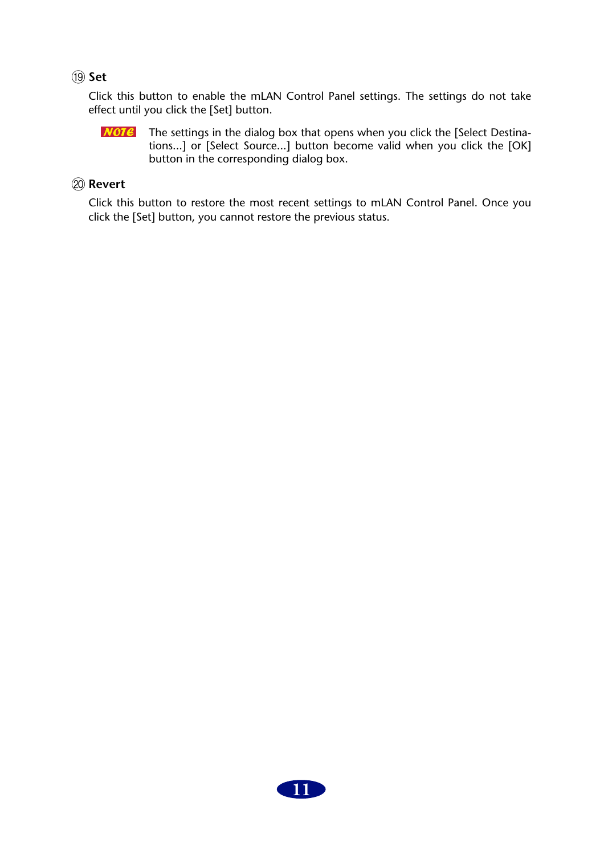#### S **Set**

Click this button to enable the mLAN Control Panel settings. The settings do not take effect until you click the [Set] button.

 $NOTE$ The settings in the dialog box that opens when you click the [Select Destinations...] or [Select Source...] button become valid when you click the [OK] button in the corresponding dialog box.

#### 20 Revert

Click this button to restore the most recent settings to mLAN Control Panel. Once you click the [Set] button, you cannot restore the previous status.

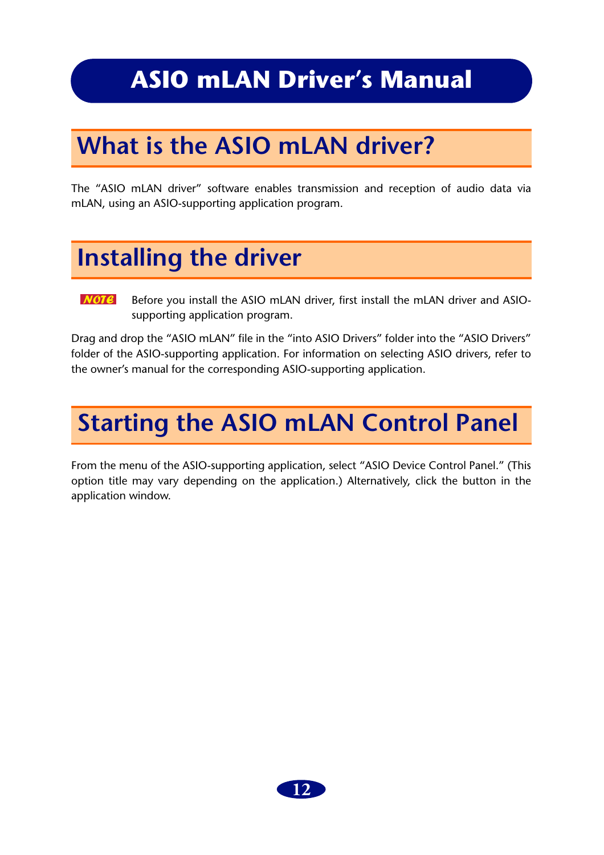### <span id="page-11-0"></span>**ASIO mLAN Driver's Manual**

## <span id="page-11-1"></span>**What is the ASIO mLAN driver?**

The "ASIO mLAN driver" software enables transmission and reception of audio data via mLAN, using an ASIO-supporting application program.

### <span id="page-11-2"></span>**Installing the driver**

 $$ Before you install the ASIO mLAN driver, first install the mLAN driver and ASIOsupporting application program.

Drag and drop the "ASIO mLAN" file in the "into ASIO Drivers" folder into the "ASIO Drivers" folder of the ASIO-supporting application. For information on selecting ASIO drivers, refer to the owner's manual for the corresponding ASIO-supporting application.

## <span id="page-11-3"></span>**Starting the ASIO mLAN Control Panel**

From the menu of the ASIO-supporting application, select "ASIO Device Control Panel." (This option title may vary depending on the application.) Alternatively, click the button in the application window.

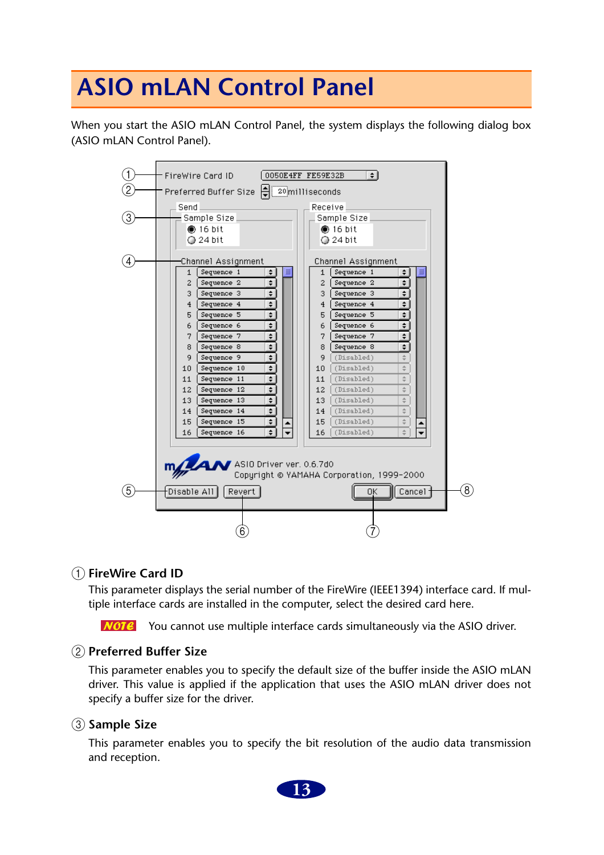## <span id="page-12-0"></span>**ASIO mLAN Control Panel**

When you start the ASIO mLAN Control Panel, the system displays the following dialog box (ASIO mLAN Control Panel).

| 1              | $\div$<br>FireWire Card ID<br>0050E4FF FE59E32B                                       |                   |
|----------------|---------------------------------------------------------------------------------------|-------------------|
| 2              |                                                                                       |                   |
|                | Preferred Buffer Size   20 milliseconds                                               |                   |
|                | Send<br>Receive                                                                       |                   |
| (3)            | Sample Size<br>Sample Size                                                            |                   |
|                | $6016$ bit<br>$\bullet$ 16 bit                                                        |                   |
|                | $Q$ 24 bit<br>$Q$ 24 bit                                                              |                   |
| $\overline{A}$ | Channel Assignment<br>Channel Assignment                                              |                   |
|                | Sequence 1<br>Sequence 1<br>÷۱<br>$\mathbf 1$<br>≣<br>1<br>÷۱                         |                   |
|                | ÷<br>÷.<br>$\overline{2}$<br>$\overline{c}$<br>Sequence 2<br>Sequence 2               |                   |
|                | $\div$<br>÷<br>3<br>3<br>Sequence 3<br>Sequence 3                                     |                   |
|                | ÷<br>÷<br>Sequence 4<br>Sequence 4<br>4<br>$\overline{4}$                             |                   |
|                | €<br>€<br>Sequence 5<br>Sequence 5<br>5<br>5                                          |                   |
|                | ÷.<br>€<br>Sequence 6<br>Sequence 6<br>6<br>6                                         |                   |
|                | ÷.<br>٠<br>Sequence 7<br>7<br>Sequence 7<br>7                                         |                   |
|                | ŧ<br>÷<br>Sequence 8<br>Sequence 8<br>8<br>8                                          |                   |
|                | ÷<br>Sequence 9<br>9<br>(Disabled)<br>9                                               |                   |
|                | ÷<br>$\frac{1}{T}$<br>Sequence 10<br>(Disabled)<br>10 <sub>1</sub><br>10 <sub>1</sub> |                   |
|                | ÷<br>Sequence 11<br>(Disabled)<br>$\frac{1}{\tau}$<br>11<br>11                        |                   |
|                | ٠<br>12 <sub>1</sub><br>Sequence 12<br>12<br>(Disabled)<br>$\frac{1}{T}$              |                   |
|                | ÷.<br>13<br>Sequence 13<br>13<br>(Disabled)<br>÷<br>Sequence 14<br>(Disabled)<br>14   |                   |
|                | ÷.<br>$\frac{1}{T}$<br>14<br>€<br>Sequence 15<br>$\div$<br>15<br>(Disabled)<br>15     |                   |
|                | $\div$<br>÷<br>Sequence 16<br>(Disabled)<br>16<br>16 <sub>1</sub>                     |                   |
|                |                                                                                       |                   |
|                |                                                                                       |                   |
|                | MAN ASIO Driver ver. 0.6.7d0                                                          |                   |
|                | Copyright @ YAMAHA Corporation, 1999-2000                                             |                   |
|                |                                                                                       |                   |
| (5)            | $\lceil$ Disable All $\rceil$ $\lceil$ Revert $\rceil$<br>[ Cancel ]<br>OΚ            | $\left( 8\right)$ |
|                |                                                                                       |                   |
|                |                                                                                       |                   |
|                | $\left[6\right]$                                                                      |                   |

#### A **FireWire Card ID**

This parameter displays the serial number of the FireWire (IEEE1394) interface card. If multiple interface cards are installed in the computer, select the desired card here.

 $\overline{NOTC}$  You cannot use multiple interface cards simultaneously via the ASIO driver.

#### B **Preferred Buffer Size**

This parameter enables you to specify the default size of the buffer inside the ASIO mLAN driver. This value is applied if the application that uses the ASIO mLAN driver does not specify a buffer size for the driver.

#### **(3)** Sample Size

This parameter enables you to specify the bit resolution of the audio data transmission and reception.

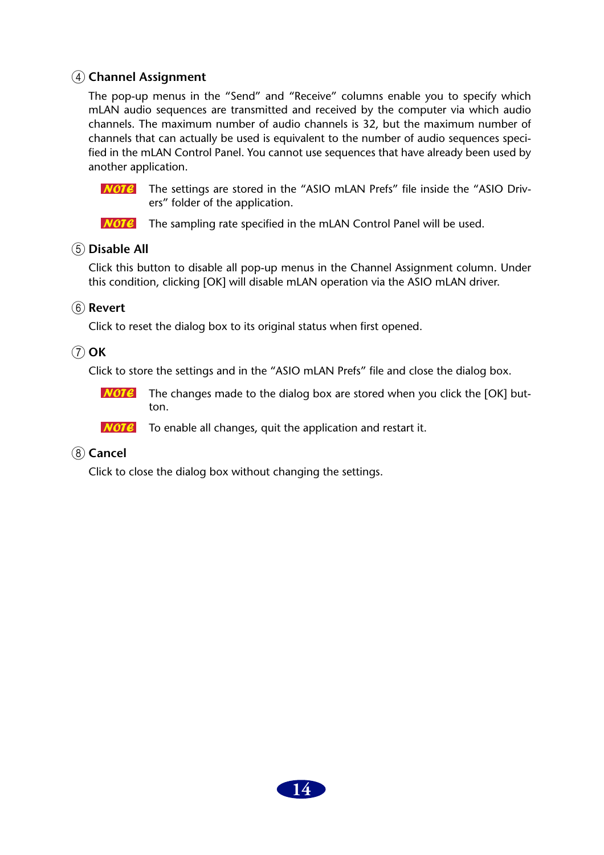#### D **Channel Assignment**

The pop-up menus in the "Send" and "Receive" columns enable you to specify which mLAN audio sequences are transmitted and received by the computer via which audio channels. The maximum number of audio channels is 32, but the maximum number of channels that can actually be used is equivalent to the number of audio sequences specified in the mLAN Control Panel. You cannot use sequences that have already been used by another application.

 $NOTE$ The settings are stored in the "ASIO mLAN Prefs" file inside the "ASIO Drivers" folder of the application.

 **The sampling rate specified in the mLAN Control Panel will be used.** 

#### E **Disable All**

Click this button to disable all pop-up menus in the Channel Assignment column. Under this condition, clicking [OK] will disable mLAN operation via the ASIO mLAN driver.

#### F **Revert**

Click to reset the dialog box to its original status when first opened.

#### G **OK**

Click to store the settings and in the "ASIO mLAN Prefs" file and close the dialog box.

 $NOTE$ The changes made to the dialog box are stored when you click the [OK] button.

 $NOTE$ To enable all changes, quit the application and restart it.

#### **(8)** Cancel

Click to close the dialog box without changing the settings.

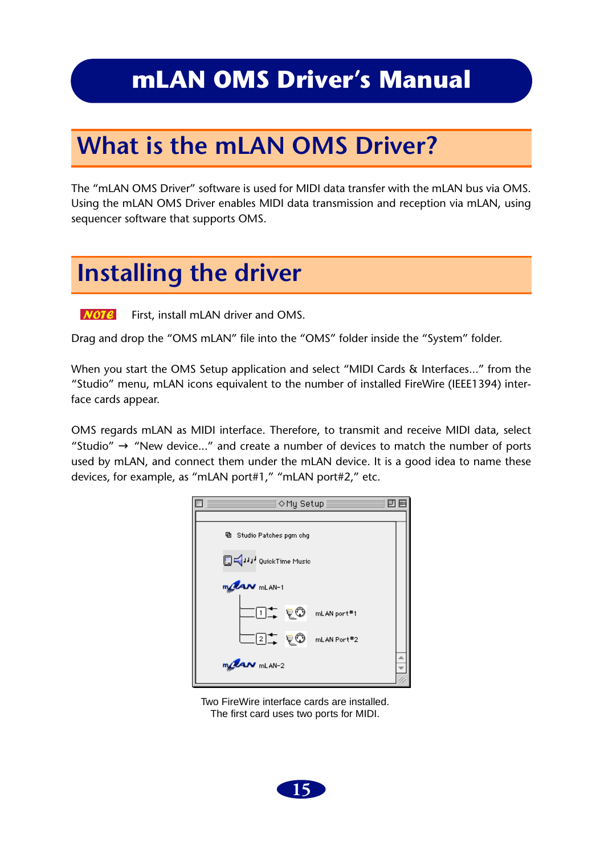### <span id="page-14-0"></span>**mLAN OMS Driver's Manual**

## <span id="page-14-1"></span>**What is the mLAN OMS Driver?**

The "mLAN OMS Driver" software is used for MIDI data transfer with the mLAN bus via OMS. Using the mLAN OMS Driver enables MIDI data transmission and reception via mLAN, using sequencer software that supports OMS.

### <span id="page-14-2"></span>**Installing the driver**

 $$ First, install mLAN driver and OMS.

Drag and drop the "OMS mLAN" file into the "OMS" folder inside the "System" folder.

When you start the OMS Setup application and select "MIDI Cards & Interfaces..." from the "Studio" menu, mLAN icons equivalent to the number of installed FireWire (IEEE1394) interface cards appear.

OMS regards mLAN as MIDI interface. Therefore, to transmit and receive MIDI data, select "Studio"  $\rightarrow$  "New device..." and create a number of devices to match the number of ports used by mLAN, and connect them under the mLAN device. It is a good idea to name these devices, for example, as "mLAN port#1," "mLAN port#2," etc.



Two FireWire interface cards are installed. The first card uses two ports for MIDI.